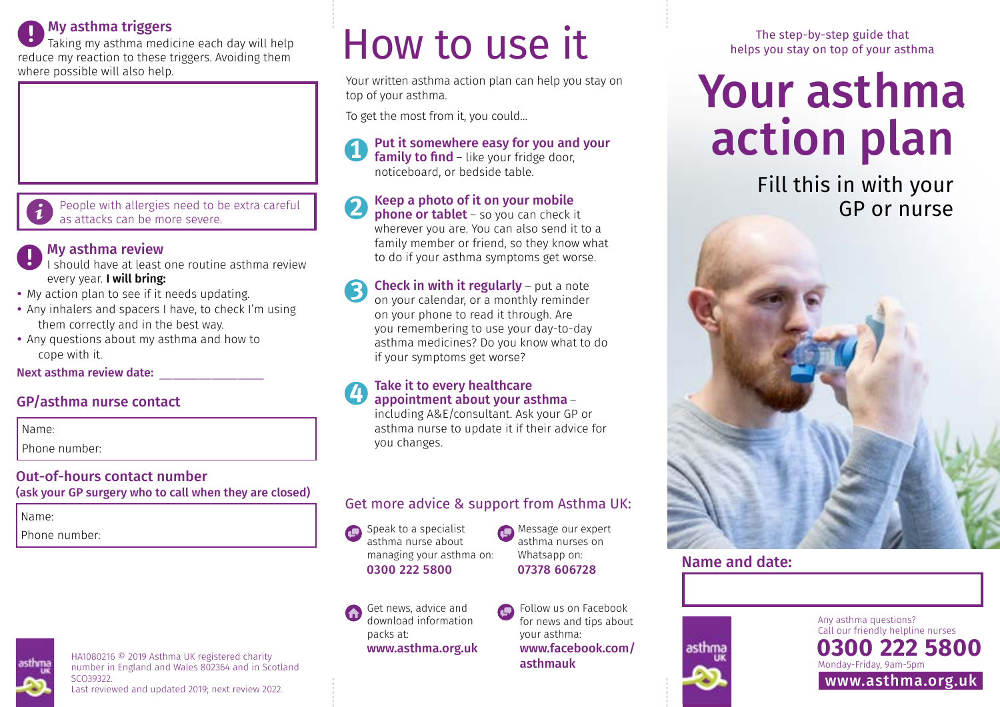# My asthma triggers

Taking my asthma medicine each day will help reduce my reaction to these triggers. Avoiding them where possible will also help.

People with allergies need to be extra careful as attacks can be more severe.

### My asthma review

- I should have at least one routine asthma review every year. I will bring:
- My action plan to see if it needs updating.
- Any inhalers and spacers I have, to check I'm using them correctly and in the best way.
- Any questions about my asthma and how to cope with it.

Next asthma review date:

# GP/asthma nurse contact

Name:

Phone number:

# Out-of-hours contact number

(ask your GP surgery who to call when they are closed)

Name:

Phone number:



HA1080216 © 2019 Asthma UK registered charity number in England and Wales 802364 and in Scotland SCO39322. Last reviewed and updated 2019; next review 2022.

# How to use it

Your written asthma action plan can help you stay on top of your asthma.

To get the most from it, you could…

Put it somewhere easy for you and your family to find – like your fridge door, noticeboard, or bedside table.

Keep a photo of it on your mobile 2 phone or tablet - so you can check it wherever you are. You can also send it to a family member or friend, so they know what to do if your asthma symptoms get worse.

Check in with it regularly – put a note 3 on your calendar, or a monthly reminder on your phone to read it through. Are you remembering to use your day-to-day asthma medicines? Do you know what to do if your symptoms get worse?

#### Take it to every healthcare appointment about your asthma –

including A&E/consultant. Ask your GP or asthma nurse to update it if their advice for you changes.

# Get more advice & support from Asthma UK:

Speak to a specialist asthma nurse about managing your asthma on: 0300 222 5800

Message our expert asthma nurses on Whatsapp on: 07378 606728

Get news, advice and download information packs at: www.asthma.org.uk Follow us on Facebook for news and tips about your asthma: www.facebook.com/ asthmauk

The step-by-step guide that helps you stay on top of your asthma

# Your asthma action plan

Fill this in with your GP or nurse



Name and date:

asthma